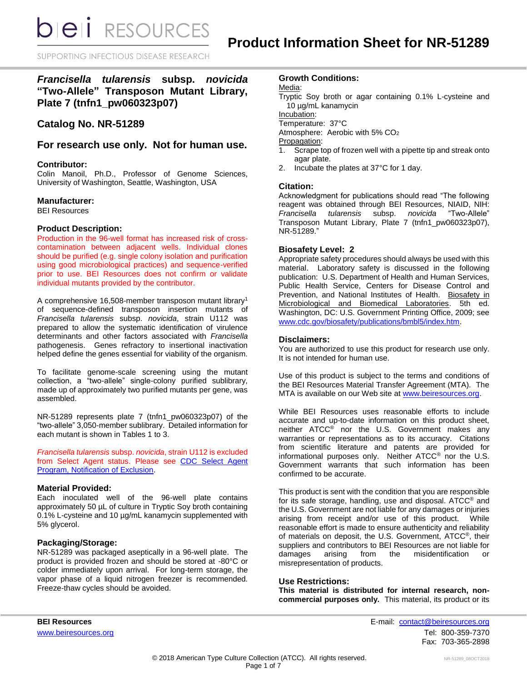SUPPORTING INFECTIOUS DISEASE RESEARCH

# *Francisella tularensis* **subsp.** *novicida* **"Two-Allele" Transposon Mutant Library, Plate 7 (tnfn1\_pw060323p07)**

# **Catalog No. NR-51289**

# **For research use only. Not for human use.**

## **Contributor:**

Colin Manoil, Ph.D., Professor of Genome Sciences, University of Washington, Seattle, Washington, USA

## **Manufacturer:**

BEI Resources

#### **Product Description:**

Production in the 96-well format has increased risk of crosscontamination between adjacent wells. Individual clones should be purified (e.g. single colony isolation and purification using good microbiological practices) and sequence-verified prior to use. BEI Resources does not confirm or validate individual mutants provided by the contributor.

A comprehensive 16,508-member transposon mutant library<sup>1</sup> of sequence-defined transposon insertion mutants of *Francisella tularensis* subsp. *novicida*, strain U112 was prepared to allow the systematic identification of virulence determinants and other factors associated with *Francisella* pathogenesis. Genes refractory to insertional inactivation helped define the genes essential for viability of the organism.

To facilitate genome-scale screening using the mutant collection, a "two-allele" single-colony purified sublibrary, made up of approximately two purified mutants per gene, was assembled.

NR-51289 represents plate 7 (tnfn1\_pw060323p07) of the "two-allele" 3,050-member sublibrary. Detailed information for each mutant is shown in Tables 1 to 3.

*Francisella tularensis* subsp. *novicida*, strain U112 is excluded from Select Agent status. Please see [CDC Select Agent](http://www.cdc.gov/od/sap/sap/exclusion.htm#background)  [Program, Notification of Exclusion.](http://www.cdc.gov/od/sap/sap/exclusion.htm#background)

## **Material Provided:**

Each inoculated well of the 96-well plate contains approximately 50 µL of culture in Tryptic Soy broth containing 0.1% L-cysteine and 10 µg/mL kanamycin supplemented with 5% glycerol.

## **Packaging/Storage:**

NR-51289 was packaged aseptically in a 96-well plate. The product is provided frozen and should be stored at -80°C or colder immediately upon arrival. For long-term storage, the vapor phase of a liquid nitrogen freezer is recommended. Freeze-thaw cycles should be avoided.

## **Growth Conditions:**

Media:

Tryptic Soy broth or agar containing 0.1% L-cysteine and 10 µg/mL kanamycin

Incubation:

Temperature: 37°C

Atmosphere: Aerobic with 5% CO<sup>2</sup>

Propagation:

- 1. Scrape top of frozen well with a pipette tip and streak onto agar plate.
- 2. Incubate the plates at 37°C for 1 day.

## **Citation:**

Acknowledgment for publications should read "The following reagent was obtained through BEI Resources, NIAID, NIH: *Francisella tularensis* subsp. *novicida* "Two-Allele" Transposon Mutant Library, Plate 7 (tnfn1\_pw060323p07), NR-51289."

## **Biosafety Level: 2**

Appropriate safety procedures should always be used with this material. Laboratory safety is discussed in the following publication: U.S. Department of Health and Human Services, Public Health Service, Centers for Disease Control and Prevention, and National Institutes of Health. Biosafety in Microbiological and Biomedical Laboratories. 5th ed. Washington, DC: U.S. Government Printing Office, 2009; see [www.cdc.gov/biosafety/publications/bmbl5/index.htm.](http://www.cdc.gov/biosafety/publications/bmbl5/index.htm)

### **Disclaimers:**

You are authorized to use this product for research use only. It is not intended for human use.

Use of this product is subject to the terms and conditions of the BEI Resources Material Transfer Agreement (MTA). The MTA is available on our Web site at [www.beiresources.org.](http://www.beiresources.org/)

While BEI Resources uses reasonable efforts to include accurate and up-to-date information on this product sheet, neither ATCC® nor the U.S. Government makes any warranties or representations as to its accuracy. Citations from scientific literature and patents are provided for informational purposes only. Neither ATCC® nor the U.S. Government warrants that such information has been confirmed to be accurate.

This product is sent with the condition that you are responsible for its safe storage, handling, use and disposal. ATCC® and the U.S. Government are not liable for any damages or injuries arising from receipt and/or use of this product. While reasonable effort is made to ensure authenticity and reliability of materials on deposit, the U.S. Government, ATCC®, their suppliers and contributors to BEI Resources are not liable for damages arising from the misidentification or misrepresentation of products.

#### **Use Restrictions:**

**This material is distributed for internal research, noncommercial purposes only.** This material, its product or its

**BEI Resources** E-mail: [contact@beiresources.org](mailto:contact@beiresources.org) [www.beiresources.org](http://www.beiresources.org/)Tel: 800-359-7370 Fax: 703-365-2898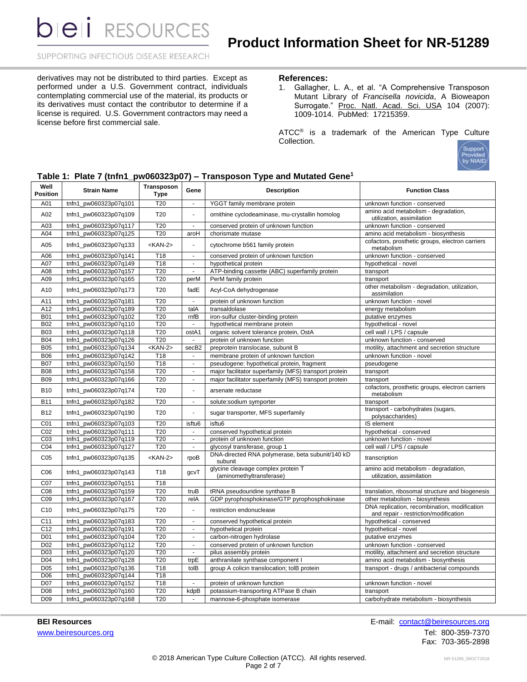## SUPPORTING INFECTIOUS DISEASE RESEARCH

derivatives may not be distributed to third parties. Except as performed under a U.S. Government contract, individuals contemplating commercial use of the material, its products or its derivatives must contact the contributor to determine if a license is required. U.S. Government contractors may need a license before first commercial sale.

#### **References:**

1. Gallagher, L. A., et al. "A Comprehensive Transposon Mutant Library of *Francisella novicida*, A Bioweapon Surrogate." Proc. Natl. Acad. Sci. USA 104 (2007): 1009-1014. PubMed: 17215359.

ATCC<sup>®</sup> is a trademark of the American Type Culture Collection.



## **Table 1: Plate 7 (tnfn1\_pw060323p07) – Transposon Type and Mutated Gene<sup>1</sup>**

| Well<br><b>Position</b> | <b>Strain Name</b>    | Transposon<br><b>Type</b> | Gene                     | <b>Description</b>                                             | <b>Function Class</b>                                                                 |  |  |
|-------------------------|-----------------------|---------------------------|--------------------------|----------------------------------------------------------------|---------------------------------------------------------------------------------------|--|--|
| A01                     | tnfn1_pw060323p07q101 | T <sub>20</sub>           | $\overline{\phantom{a}}$ | YGGT family membrane protein                                   | unknown function - conserved                                                          |  |  |
| A02                     | tnfn1_pw060323p07q109 | T <sub>20</sub>           | ä,                       | ornithine cyclodeaminase, mu-crystallin homolog                | amino acid metabolism - degradation,<br>utilization, assimilation                     |  |  |
| A03                     | tnfn1 pw060323p07q117 | T20                       | $\sim$                   | conserved protein of unknown function                          | unknown function - conserved                                                          |  |  |
| A04                     | tnfn1_pw060323p07q125 | T <sub>20</sub>           | aroH                     | chorismate mutase                                              | amino acid metabolism - biosynthesis                                                  |  |  |
| A05                     | tnfn1_pw060323p07q133 | <kan-2></kan-2>           |                          | cytochrome b561 family protein                                 | cofactors, prosthetic groups, electron carriers<br>metabolism                         |  |  |
| A06                     | tnfn1 pw060323p07q141 | T18                       |                          | conserved protein of unknown function                          | unknown function - conserved                                                          |  |  |
| A07                     | tnfn1_pw060323p07q149 | T18                       | $\blacksquare$           | hypothetical protein                                           | hypothetical - novel                                                                  |  |  |
| A08                     | tnfn1_pw060323p07q157 | T20                       | $\blacksquare$           | ATP-binding cassette (ABC) superfamily protein                 | transport                                                                             |  |  |
| A09                     | tnfn1_pw060323p07q165 | T20                       | perM                     | PerM family protein                                            | transport                                                                             |  |  |
| A10                     | tnfn1_pw060323p07q173 | T20                       | fadE                     | Acyl-CoA dehydrogenase                                         | other metabolism - degradation, utilization,<br>assimilation                          |  |  |
| A11                     | tnfn1 pw060323p07q181 | T20                       | ä,                       | protein of unknown function                                    | unknown function - novel                                                              |  |  |
| A12                     | tnfn1_pw060323p07q189 | T20                       | talA                     | transaldolase                                                  | energy metabolism                                                                     |  |  |
| <b>B01</b>              | tnfn1_pw060323p07q102 | T20                       | rnfB                     | iron-sulfur cluster-binding protein                            | putative enzymes                                                                      |  |  |
| <b>B02</b>              | tnfn1_pw060323p07q110 | T20                       | $\blacksquare$           | hypothetical membrane protein                                  | hypothetical - novel                                                                  |  |  |
| <b>B03</b>              | tnfn1_pw060323p07q118 | T20                       | ostA1                    | organic solvent tolerance protein, OstA                        | cell wall / LPS / capsule                                                             |  |  |
| <b>B04</b>              | tnfn1_pw060323p07q126 | T20                       | $\mathbf{r}$             | protein of unknown function                                    | unknown function - conserved                                                          |  |  |
| <b>B05</b>              | tnfn1_pw060323p07q134 | $<$ KAN-2>                | secB <sub>2</sub>        | preprotein translocase, subunit B                              | motility, attachment and secretion structure                                          |  |  |
| <b>B06</b>              | tnfn1_pw060323p07q142 | T18                       | $\blacksquare$           | membrane protein of unknown function                           | unknown function - novel                                                              |  |  |
| <b>B07</b>              | tnfn1_pw060323p07q150 | T <sub>18</sub>           | $\blacksquare$           | pseudogene: hypothetical protein, fragment                     | pseudogene                                                                            |  |  |
| <b>B08</b>              | tnfn1_pw060323p07q158 | T20                       | $\blacksquare$           | major facilitator superfamily (MFS) transport protein          | transport                                                                             |  |  |
| <b>B09</b>              | tnfn1_pw060323p07q166 | T20                       | $\mathbf{r}$             | major facilitator superfamily (MFS) transport protein          | transport                                                                             |  |  |
| <b>B10</b>              | tnfn1_pw060323p07q174 | T20                       |                          | arsenate reductase                                             | cofactors, prosthetic groups, electron carriers<br>metabolism                         |  |  |
| <b>B11</b>              | tnfn1_pw060323p07q182 | $\overline{120}$          | $\blacksquare$           | solute:sodium symporter                                        | transport                                                                             |  |  |
| <b>B12</b>              | tnfn1_pw060323p07q190 | T20                       |                          | sugar transporter, MFS superfamily                             | transport - carbohydrates (sugars,<br>polysaccharides)                                |  |  |
| CO <sub>1</sub>         | tnfn1_pw060323p07q103 | T20                       | isftu6                   | isftu6                                                         | IS element                                                                            |  |  |
| CO <sub>2</sub>         | tnfn1_pw060323p07q111 | T20                       | $\blacksquare$           | conserved hypothetical protein                                 | hypothetical - conserved                                                              |  |  |
| CO <sub>3</sub>         | tnfn1_pw060323p07q119 | T20                       | ä,                       | protein of unknown function                                    | unknown function - novel                                                              |  |  |
| CO <sub>4</sub>         | tnfn1_pw060323p07q127 | T20                       | $\blacksquare$           | glycosyl transferase, group 1                                  | cell wall / LPS / capsule                                                             |  |  |
| C <sub>05</sub>         | tnfn1 pw060323p07q135 | <kan-2></kan-2>           | rpoB                     | DNA-directed RNA polymerase, beta subunit/140 kD<br>subunit    | transcription                                                                         |  |  |
| C <sub>06</sub>         | tnfn1_pw060323p07q143 | T <sub>18</sub>           | gcvT                     | glycine cleavage complex protein T<br>(aminomethyltransferase) | amino acid metabolism - degradation,<br>utilization, assimilation                     |  |  |
| C <sub>07</sub>         | tnfn1 pw060323p07q151 | T18                       |                          |                                                                |                                                                                       |  |  |
| C <sub>08</sub>         | tnfn1_pw060323p07q159 | T20                       | truB                     | tRNA pseudouridine synthase B                                  | translation, ribosomal structure and biogenesis                                       |  |  |
| C09                     | tnfn1_pw060323p07q167 | T20                       | relA                     | GDP pyrophosphokinase/GTP pyrophosphokinase                    | other metabolism - biosynthesis                                                       |  |  |
| C10                     | tnfn1_pw060323p07q175 | T <sub>20</sub>           | ÷,                       | restriction endonuclease                                       | DNA replication, recombination, modification<br>and repair - restriction/modification |  |  |
| C <sub>11</sub>         | tnfn1 pw060323p07q183 | T <sub>20</sub>           | $\blacksquare$           | conserved hypothetical protein                                 | hypothetical - conserved                                                              |  |  |
| C <sub>12</sub>         | tnfn1_pw060323p07q191 | T <sub>20</sub>           | $\blacksquare$           | hypothetical protein                                           | hypothetical - novel                                                                  |  |  |
| D <sub>01</sub>         | tnfn1_pw060323p07q104 | T20                       | $\mathbf{r}$             | carbon-nitrogen hydrolase                                      | putative enzymes                                                                      |  |  |
| D <sub>02</sub>         | tnfn1_pw060323p07q112 | T20                       | $\blacksquare$           | conserved protein of unknown function                          | unknown function - conserved                                                          |  |  |
| D <sub>03</sub>         | tnfn1_pw060323p07q120 | T <sub>20</sub>           | $\mathbf{r}$             | pilus assembly protein                                         | motility, attachment and secretion structure                                          |  |  |
| D <sub>04</sub>         | tnfn1_pw060323p07q128 | T20                       | trpE                     | anthranilate synthase component I                              | amino acid metabolism - biosynthesis                                                  |  |  |
| D <sub>05</sub>         | tnfn1_pw060323p07q136 | T18                       | tolB                     | group A colicin translocation; tolB protein                    | transport - drugs / antibacterial compounds                                           |  |  |
| D06                     | tnfn1_pw060323p07q144 | T <sub>18</sub>           |                          |                                                                |                                                                                       |  |  |
| D07                     | tnfn1_pw060323p07q152 | T18                       |                          | protein of unknown function                                    | unknown function - novel                                                              |  |  |
| D <sub>08</sub>         | tnfn1_pw060323p07q160 | T20                       | kdpB                     | potassium-transporting ATPase B chain                          | transport                                                                             |  |  |
| D <sub>09</sub>         | tnfn1_pw060323p07q168 | T <sub>20</sub>           | $\sim$                   | mannose-6-phosphate isomerase                                  | carbohydrate metabolism - biosynthesis                                                |  |  |

**BEI Resources** E-mail: [contact@beiresources.org](mailto:contact@beiresources.org) [www.beiresources.org](http://www.beiresources.org/)Tel: 800-359-7370 Fax: 703-365-2898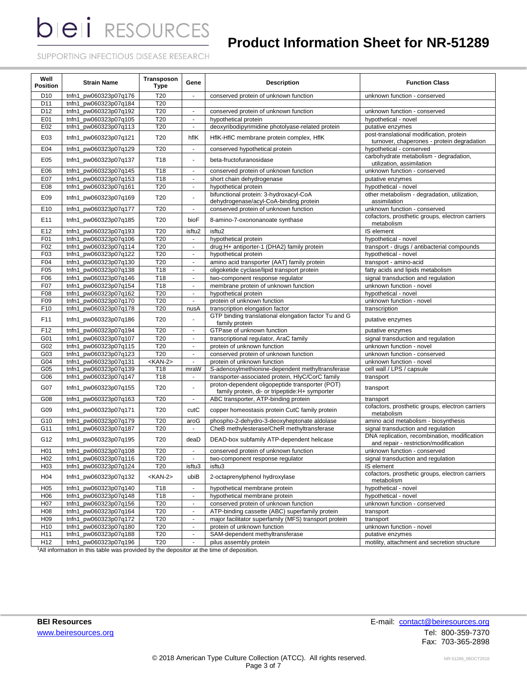# **Product Information Sheet for NR-51289**

SUPPORTING INFECTIOUS DISEASE RESEARCH

| Well<br><b>Position</b> | <b>Strain Name</b>    | Transposon<br><b>Type</b> | Gene                     | <b>Description</b>                                                                                 | <b>Function Class</b>                                                                  |  |  |
|-------------------------|-----------------------|---------------------------|--------------------------|----------------------------------------------------------------------------------------------------|----------------------------------------------------------------------------------------|--|--|
| D <sub>10</sub>         | tnfn1_pw060323p07q176 | T <sub>20</sub>           | $\blacksquare$           | conserved protein of unknown function                                                              | unknown function - conserved                                                           |  |  |
| D11                     | tnfn1 pw060323p07q184 | T20                       |                          |                                                                                                    |                                                                                        |  |  |
| D <sub>12</sub>         | tnfn1_pw060323p07q192 | T20                       | $\blacksquare$           | conserved protein of unknown function                                                              | unknown function - conserved                                                           |  |  |
| E01                     | tnfn1_pw060323p07q105 | T20                       | $\overline{\phantom{a}}$ | hypothetical protein                                                                               | hypothetical - novel                                                                   |  |  |
| E02                     | tnfn1_pw060323p07q113 | T20                       | $\blacksquare$           | deoxyribodipyrimidine photolyase-related protein                                                   | putative enzymes                                                                       |  |  |
| E03                     | tnfn1_pw060323p07q121 | T <sub>20</sub>           | hflK                     | HflK-HflC membrane protein complex, HflK                                                           | post-translational modification, protein<br>turnover, chaperones - protein degradation |  |  |
| E04                     | tnfn1_pw060323p07q129 | T20                       | $\blacksquare$           | conserved hypothetical protein                                                                     | hypothetical - conserved                                                               |  |  |
| E05                     | tnfn1_pw060323p07q137 | T <sub>18</sub>           | $\blacksquare$           | beta-fructofuranosidase                                                                            | carbohydrate metabolism - degradation,<br>utilization, assimilation                    |  |  |
| E06                     | tnfn1_pw060323p07q145 | T18                       | $\sim$                   | conserved protein of unknown function                                                              | unknown function - conserved                                                           |  |  |
| E07                     | tnfn1_pw060323p07q153 | T18                       | $\mathbf{r}$             | short chain dehydrogenase                                                                          | putative enzymes                                                                       |  |  |
| E08                     | tnfn1_pw060323p07q161 | T <sub>20</sub>           | $\mathbf{u}$             | hypothetical protein                                                                               | hypothetical - novel                                                                   |  |  |
| E09                     | tnfn1 pw060323p07q169 | T <sub>20</sub>           | $\blacksquare$           | bifunctional protein: 3-hydroxacyl-CoA<br>dehydrogenase/acyl-CoA-binding protein                   | other metabolism - degradation, utilization,<br>assimilation                           |  |  |
| E10                     | tnfn1_pw060323p07q177 | T20                       | $\sim$                   | conserved protein of unknown function                                                              | unknown function - conserved                                                           |  |  |
| E11                     | tnfn1_pw060323p07q185 | T <sub>20</sub>           | bioF                     | 8-amino-7-oxononanoate synthase                                                                    | cofactors, prosthetic groups, electron carriers<br>metabolism                          |  |  |
| E12                     | tnfn1_pw060323p07q193 | T <sub>20</sub>           | isftu2                   | isftu <sub>2</sub>                                                                                 | IS element                                                                             |  |  |
| F01                     | tnfn1_pw060323p07q106 | T20                       |                          | hypothetical protein                                                                               | hypothetical - novel                                                                   |  |  |
| F02                     | tnfn1_pw060323p07q114 | T20                       | $\blacksquare$           | drug:H+ antiporter-1 (DHA2) family protein                                                         | transport - drugs / antibacterial compounds                                            |  |  |
| F03                     | tnfn1_pw060323p07q122 | T <sub>20</sub>           | $\blacksquare$           | hypothetical protein                                                                               | hypothetical - novel                                                                   |  |  |
| F04                     | tnfn1_pw060323p07q130 | T20                       | $\mathbf{r}$             | amino acid transporter (AAT) family protein                                                        | transport - amino-acid                                                                 |  |  |
| F <sub>05</sub>         | tnfn1_pw060323p07q138 | T18                       | $\blacksquare$           | oligoketide cyclase/lipid transport protein                                                        | fatty acids and lipids metabolism                                                      |  |  |
| F06                     | tnfn1_pw060323p07q146 | T18                       | $\blacksquare$           | two-component response regulator                                                                   | signal transduction and regulation                                                     |  |  |
| F07                     | tnfn1_pw060323p07q154 | T18                       | $\blacksquare$           | membrane protein of unknown function                                                               | unknown function - novel                                                               |  |  |
| F08                     | tnfn1_pw060323p07q162 | T20                       | $\blacksquare$           | hypothetical protein                                                                               | hypothetical - novel                                                                   |  |  |
| F09                     | tnfn1_pw060323p07q170 | T20                       | ÷,                       | protein of unknown function                                                                        | unknown function - novel                                                               |  |  |
| F10                     | tnfn1_pw060323p07q178 | T <sub>20</sub>           | nusA                     | transcription elongation factor                                                                    | transcription                                                                          |  |  |
| F11                     | tnfn1_pw060323p07q186 | T <sub>20</sub>           |                          | GTP binding translational elongation factor Tu and G<br>family protein                             | putative enzymes                                                                       |  |  |
| F12                     | tnfn1_pw060323p07q194 | T20                       | $\sim$                   | GTPase of unknown function                                                                         | putative enzymes                                                                       |  |  |
| G01                     | tnfn1_pw060323p07q107 | T20                       | $\sim$                   | transcriptional regulator, AraC family                                                             | signal transduction and regulation                                                     |  |  |
| G02                     | tnfn1_pw060323p07q115 | T20                       | $\blacksquare$           | protein of unknown function                                                                        | unknown function - novel                                                               |  |  |
| G03                     | tnfn1_pw060323p07q123 | T20                       | $\blacksquare$           | conserved protein of unknown function                                                              | unknown function - conserved                                                           |  |  |
| G04                     | tnfn1_pw060323p07q131 | $<$ KAN-2>                | $\blacksquare$           | protein of unknown function                                                                        | unknown function - novel                                                               |  |  |
| G05                     | tnfn1_pw060323p07q139 | T18                       | mraW                     | S-adenosylmethionine-dependent methyltransferase                                                   | cell wall / LPS / capsule                                                              |  |  |
| G06                     | tnfn1_pw060323p07q147 | T18                       | $\overline{\phantom{a}}$ | transporter-associated protein, HlyC/CorC family                                                   | transport                                                                              |  |  |
| G07                     | tnfn1_pw060323p07q155 | T <sub>20</sub>           | ä,                       | proton-dependent oligopeptide transporter (POT)<br>family protein, di- or tripeptide: H+ symporter | transport                                                                              |  |  |
| G08                     | tnfn1_pw060323p07q163 | T20                       | $\blacksquare$           | ABC transporter, ATP-binding protein                                                               | transport                                                                              |  |  |
| G09                     | tnfn1 pw060323p07q171 | T20                       | cutC                     | copper homeostasis protein CutC family protein                                                     | cofactors, prosthetic groups, electron carriers<br>metabolism                          |  |  |
| G10                     | tnfn1_pw060323p07q179 | T20                       | aroG                     | phospho-2-dehydro-3-deoxyheptonate aldolase                                                        | amino acid metabolism - biosynthesis                                                   |  |  |
| G11                     | tnfn1_pw060323p07q187 | T20                       | $\blacksquare$           | CheB methylesterase/CheR methyltransferase                                                         | signal transduction and regulation                                                     |  |  |
| G12                     | tnfn1_pw060323p07q195 | T <sub>20</sub>           | deaD                     | DEAD-box subfamily ATP-dependent helicase                                                          | DNA replication, recombination, modification<br>and repair - restriction/modification  |  |  |
| H <sub>01</sub>         | tnfn1 pw060323p07q108 | T <sub>20</sub>           | $\mathbf{u}$             | conserved protein of unknown function                                                              | unknown function - conserved                                                           |  |  |
| H <sub>02</sub>         | tnfn1_pw060323p07q116 | T <sub>20</sub>           |                          | two-component response regulator                                                                   | signal transduction and regulation                                                     |  |  |
| H <sub>03</sub>         | tnfn1_pw060323p07q124 | T <sub>20</sub>           | isftu3                   | isftu3                                                                                             | IS element                                                                             |  |  |
| H <sub>04</sub>         | tnfn1_pw060323p07q132 | <kan-2></kan-2>           | ubiB                     | 2-octaprenylphenol hydroxylase                                                                     | cofactors, prosthetic groups, electron carriers<br>metabolism                          |  |  |
| H <sub>05</sub>         | tnfn1 pw060323p07q140 | T18                       | $\blacksquare$           | hypothetical membrane protein                                                                      | hypothetical - novel                                                                   |  |  |
| H <sub>06</sub>         | tnfn1 pw060323p07q148 | T18                       | $\blacksquare$           | hypothetical membrane protein                                                                      | hypothetical - novel                                                                   |  |  |
| H <sub>0</sub> 7        | tnfn1_pw060323p07q156 | T20                       | $\sim$                   | conserved protein of unknown function                                                              | unknown function - conserved                                                           |  |  |
| H <sub>0</sub> 8        | tnfn1_pw060323p07q164 | T20                       | $\blacksquare$           | ATP-binding cassette (ABC) superfamily protein                                                     | transport                                                                              |  |  |
| H <sub>09</sub>         | tnfn1_pw060323p07q172 | T20                       | $\blacksquare$           | major facilitator superfamily (MFS) transport protein                                              | transport                                                                              |  |  |
| H <sub>10</sub>         | tnfn1 pw060323p07q180 | T <sub>20</sub>           | $\blacksquare$           | protein of unknown function                                                                        | unknown function - novel                                                               |  |  |
| H11                     | tnfn1_pw060323p07q188 | T <sub>20</sub>           | $\blacksquare$           | SAM-dependent methyltransferase                                                                    | putative enzymes                                                                       |  |  |
| H12                     | tnfn1_pw060323p07q196 | T20                       | $\blacksquare$           | pilus assembly protein                                                                             | motility, attachment and secretion structure                                           |  |  |

1All information in this table was provided by the depositor at the time of deposition.

**BEI Resources** E-mail: **contact@beiresources.org** [www.beiresources.org](http://www.beiresources.org/)Tel: 800-359-7370 Fax: 703-365-2898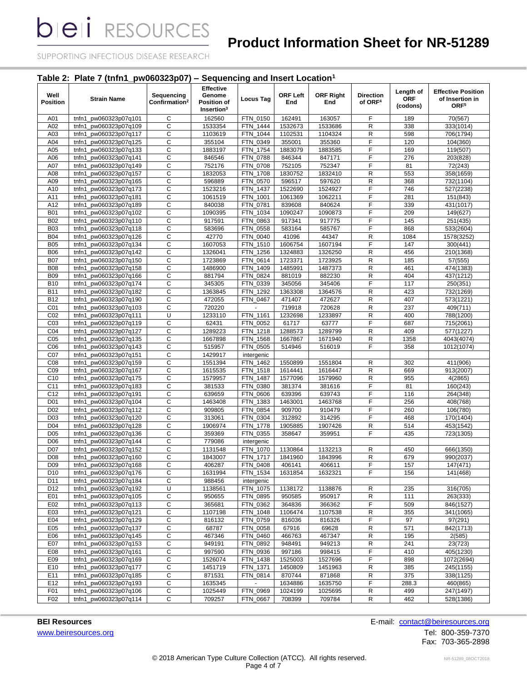# **Product Information Sheet for NR-51289**

SUPPORTING INFECTIOUS DISEASE RESEARCH

# **Table 2: Plate 7 (tnfn1\_pw060323p07) – Sequencing and Insert Location<sup>1</sup>**

| Well<br><b>Position</b>            | <b>Strain Name</b>                                   | Sequencing<br>Confirmation <sup>2</sup> | <b>Effective</b><br>Genome<br>Position of<br>Insertion <sup>3</sup> | <b>Locus Tag</b>                  | ORF Left<br>End    | <b>ORF Right</b><br>End | <b>Direction</b><br>of ORF <sup>4</sup> | Length of<br>ORF<br>(codons) | <b>Effective Position</b><br>of Insertion in<br>ORF <sup>5</sup> |
|------------------------------------|------------------------------------------------------|-----------------------------------------|---------------------------------------------------------------------|-----------------------------------|--------------------|-------------------------|-----------------------------------------|------------------------------|------------------------------------------------------------------|
| A01                                | tnfn1_pw060323p07q101                                | C                                       | 162560                                                              | FTN 0150                          | 162491             | 163057                  | F                                       | 189                          | 70(567)                                                          |
| A02                                | tnfn1_pw060323p07q109                                | C                                       | 1533354                                                             | FTN 1444                          | 1532673            | 1533686                 | R                                       | 338                          | 333(1014)                                                        |
| A03                                | tnfn1 pw060323p07q117                                | С                                       | 1103619                                                             | FTN_1044                          | 1102531            | 1104324                 | R                                       | 598                          | 706(1794)                                                        |
| A04                                | tnfn1 pw060323p07q125                                | C                                       | 355104                                                              | 0349<br><b>FTN</b>                | 355001             | 355360                  | F                                       | 120                          | 104(360)                                                         |
| A05                                | tnfn1_pw060323p07q133                                | C                                       | 1883197                                                             | FTN_1754                          | 1883079            | 1883585                 | F                                       | 169                          | 119(507)                                                         |
| A06                                | tnfn1_pw060323p07q141                                | C                                       | 846546                                                              | 0788<br><b>FTN</b>                | 846344             | 847171                  | F                                       | 276                          | 203(828)                                                         |
| A07                                | pw060323p07q149<br>tnfn1                             | С                                       | 752176                                                              | FTN_0708                          | 752105             | 752347                  | F                                       | 81                           | 72(243)                                                          |
| A08                                | tnfn1_pw060323p07q157                                | C                                       | 1832053                                                             | 1708<br><b>FTN</b>                | 1830752            | 1832410                 | $\mathsf R$                             | 553                          | 358(1659)                                                        |
| A09                                | tnfn1_pw060323p07q165                                | C                                       | 596889                                                              | FTN_0570                          | 596517             | 597620                  | R                                       | 368                          | 732(1104)                                                        |
| A10                                | tnfn1_pw060323p07q173                                | C                                       | 1523216                                                             | FTN 1437                          | 1522690            | 1524927                 | F                                       | 746                          | 527(2238)                                                        |
| A11                                | tnfn1<br>pw060323p07q181                             | C                                       | 1061519                                                             | FTN 1001                          | 1061369            | 1062211                 | F                                       | 281                          | 151(843)                                                         |
| A12                                | pw060323p07q189<br>tnfn1                             | C                                       | 840038                                                              | _0781<br>FTN                      | 839608             | 840624                  | F                                       | 339                          | 431(1017)                                                        |
| <b>B01</b>                         | pw060323p07q102<br>tnfn1                             | C                                       | 1090395                                                             | 1034<br><b>FTN</b>                | 1090247            | 1090873                 | F                                       | 209                          | 149(627)                                                         |
| <b>B02</b>                         | pw060323p07q110<br>tnfn1                             | C                                       | 917591                                                              | _0863<br><b>FTN</b>               | 917341             | 917775                  | F                                       | 145                          | 251(435)                                                         |
| <b>B03</b>                         | tnfn1<br>pw060323p07q118                             | C                                       | 583696                                                              | <b>FTN</b><br>0558                | 583164             | 585767                  | F                                       | 868                          | 533(2604)                                                        |
| <b>B04</b>                         | pw060323p07q126<br>tnfn1                             | C                                       | 42770                                                               | 0040<br>FTN                       | 41096              | 44347                   | R                                       | 1084                         | 1578(3252)                                                       |
| <b>B05</b>                         | tnfn1_pw060323p07q134                                | C                                       | 1607053                                                             | $-1510$<br>FTN                    | 1606754            | 1607194                 | F                                       | 147                          | 300(441)                                                         |
| <b>B06</b>                         | tnfn1_pw060323p07q142                                | C                                       | 1326041                                                             | $-1256$<br>FTN                    | 1324883            | 1326250                 | R                                       | 456                          | 210(1368)                                                        |
| <b>B07</b>                         | pw060323p07q150<br>tnfn1                             | C                                       | 1723869                                                             | 0614<br><b>FTN</b>                | 1723371            | 1723925                 | R                                       | 185                          | 57(555)                                                          |
| <b>B08</b>                         | pw060323p07q158<br>tnfn1                             | C                                       | 1486900                                                             | 1409<br>FTN                       | 1485991            | 1487373                 | $\mathsf R$                             | 461                          | 474(1383)                                                        |
| <b>B09</b>                         | tnfn1_pw060323p07q166                                | C                                       | 881794                                                              | FTN 0824                          | 881019             | 882230                  | R                                       | 404                          | 437(1212)                                                        |
| <b>B10</b>                         | tnfn1_pw060323p07q174                                | С                                       | 345305                                                              | FTN_0339                          | 345056             | 345406                  | F                                       | 117                          | 250(351)                                                         |
| <b>B11</b>                         | tnfn1_pw060323p07q182                                | C                                       | 1363845                                                             | 1292<br>FTN.                      | 1363308            | 1364576                 | R                                       | 423                          | 732(1269)                                                        |
| <b>B12</b>                         | tnfn1<br>pw060323p07q190                             | C                                       | 472055                                                              | <b>FTN</b><br>0467                | 471407             | 472627                  | ${\sf R}$                               | 407                          | 573(1221)                                                        |
| CO <sub>1</sub>                    | tnfn1_pw060323p07q103                                | C                                       | 720220                                                              |                                   | 719918             | 720628                  | $\mathsf R$                             | 237                          | 409(711)                                                         |
| CO <sub>2</sub>                    | pw060323p07q111<br>tnfn1                             | U                                       | 1233110                                                             | FTN_1161                          | 1232698            | 1233897                 | R                                       | 400                          | 788(1200)                                                        |
| CO <sub>3</sub>                    | tnfn1_pw060323p07q119                                | C                                       | 62431                                                               | 0052<br><b>FTN</b>                | 61717              | 63777                   | F                                       | 687                          | 715(2061)                                                        |
| C04                                | tnfn1_pw060323p07q127                                | C                                       | 1289223                                                             | FTN_1218                          | 1288573            | 1289799                 | R                                       | 409                          | 577(1227)                                                        |
| C <sub>05</sub>                    | tnfn1_pw060323p07q135                                | C                                       | 1667898                                                             | FTN_1568                          | 1667867            | 1671940                 | $\mathsf R$                             | 1358                         | 4043(4074)                                                       |
| C06                                | pw060323p07q143<br>tnfn1                             | C                                       | 515957                                                              | FTN 0505                          | 514946             | 516019                  | F                                       | 358                          | 1012(1074)                                                       |
| C07                                | pw060323p07q151<br>tnfn1                             | C<br>C                                  | 1429917                                                             | intergenic                        |                    |                         |                                         |                              |                                                                  |
| C <sub>08</sub><br>C <sub>09</sub> | pw060323p07q159<br>tnfn1<br>pw060323p07q167<br>tnfn1 | C                                       | 1551394<br>1615535                                                  | FTN_1462<br>$-1518$<br><b>FTN</b> | 1550899<br>1614441 | 1551804<br>1616447      | R<br>$\mathsf R$                        | 302<br>669                   | 411(906)<br>913(2007)                                            |
| C10                                | pw060323p07q175<br>tnfn1                             | С                                       | 1579957                                                             | FTN_1487                          | 1577096            | 1579960                 | R                                       | 955                          | 4(2865)                                                          |
| C11                                | tnfn1_pw060323p07q183                                | C                                       | 381533                                                              | FTN_0380                          | 381374             | 381616                  | F                                       | 81                           | 160(243)                                                         |
| C <sub>12</sub>                    | tnfn1_pw060323p07q191                                | C                                       | 639659                                                              | FTN 0606                          | 639396             | 639743                  | F                                       | 116                          | 264(348)                                                         |
| D <sub>01</sub>                    | tnfn1_pw060323p07q104                                | С                                       | 1463408                                                             | 1383<br>FTN                       | 1463001            | 1463768                 | F                                       | 256                          | 408(768)                                                         |
| D <sub>02</sub>                    | pw060323p07q112<br>tnfn1                             | C                                       | 909805                                                              | 0854<br>FTN                       | 909700             | 910479                  | F                                       | 260                          | 106(780)                                                         |
| D <sub>03</sub>                    | pw060323p07q120<br>tnfn1                             | C                                       | 313061                                                              | _0304<br>FTN                      | 312892             | 314295                  | F                                       | 468                          | 170(1404)                                                        |
| D <sub>04</sub>                    | pw060323p07q128<br>tnfn1                             | C                                       | 1906974                                                             | 1778<br>FTN                       | 1905885            | 1907426                 | R                                       | 514                          | 453(1542)                                                        |
| D <sub>05</sub>                    | tnfn1_pw060323p07q136                                | C                                       | 359369                                                              | FTN 0355                          | 358647             | 359951                  | F                                       | 435                          | 723(1305)                                                        |
| D <sub>06</sub>                    | tnfn1_pw060323p07q144                                | C                                       | 779086                                                              | intergenic                        |                    |                         |                                         |                              |                                                                  |
| D <sub>07</sub>                    | tnfn1_pw060323p07q152                                | С                                       | 1131548                                                             | FTN_1070                          | 1130864            | 1132213                 | R                                       | 450                          | 666(1350)                                                        |
| D <sub>08</sub>                    | tnfn1_pw060323p07q160                                | C                                       | 1843007                                                             | <b>FTN 1717</b>                   | 1841960            | 1843996                 | $\mathsf R$                             | 679                          | 990(2037)                                                        |
| D <sub>09</sub>                    | tnfn1_pw060323p07q168                                | C                                       | 406287                                                              | FTN 0408                          | 406141             | 406611                  | F                                       | 157                          | 147(471)                                                         |
| D <sub>10</sub>                    | tnfn1_pw060323p07q176                                | С                                       | 1631994                                                             | FTN_1534                          | 1631854            | 1632321                 | F                                       | 156                          | 141(468)                                                         |
| D11                                | tnfn1_pw060323p07q184                                | C                                       | 988456                                                              | intergenic                        |                    |                         |                                         |                              |                                                                  |
| D12                                | tnfn1_pw060323p07q192                                | U                                       | 1138561                                                             | FTN_1075                          | 1138172            | 1138876                 | R                                       | 235                          | 316(705)                                                         |
| E01                                | tnfn1_pw060323p07q105                                | C                                       | 950655                                                              | FTN_0895                          | 950585             | 950917                  | R                                       | 111                          | 263(333)                                                         |
| E02                                | tnfn1_pw060323p07q113                                | $\mathsf C$                             | 365681                                                              | FTN_0362                          | 364836             | 366362                  | F                                       | 509                          | 846(1527)                                                        |
| E03                                | tnfn1 pw060323p07q121                                | C                                       | 1107198                                                             | FTN_1048                          | 1106474            | 1107538                 | R                                       | 355                          | 341(1065)                                                        |
| E04                                | tnfn1_pw060323p07q129                                | C                                       | 816132                                                              | FTN_0759                          | 816036             | 816326                  | F                                       | 97                           | 97(291)                                                          |
| E05                                | tnfn1_pw060323p07q137                                | С                                       | 68787                                                               | FTN_0058                          | 67916              | 69628                   | R                                       | 571                          | 842(1713)                                                        |
| E06                                | tnfn1_pw060323p07q145                                | $\mathsf C$                             | 467346                                                              | FTN_0460                          | 466763             | 467347                  | ${\sf R}$                               | 195                          | 2(585)                                                           |
| E07                                | tnfn1_pw060323p07q153                                | C                                       | 949191                                                              | FTN_0892                          | 948491             | 949213                  | R                                       | 241                          | 23(723)                                                          |
| E08                                | tnfn1_pw060323p07q161                                | C                                       | 997590                                                              | FTN_0936                          | 997186             | 998415                  | F                                       | 410                          | 405(1230)                                                        |
| E09                                | tnfn1_pw060323p07q169                                | $\mathsf C$                             | 1526074                                                             | FTN_1438                          | 1525003            | 1527696                 | F                                       | 898                          | 1072(2694)                                                       |
| E10                                | tnfn1_pw060323p07q177                                | C                                       | 1451719                                                             | FTN_1371                          | 1450809            | 1451963                 | R                                       | 385                          | 245(1155)                                                        |
| E11                                | tnfn1 pw060323p07q185                                | $\overline{c}$                          | 871531                                                              | FTN_0814                          | 870744             | 871868                  | R                                       | 375                          | 338(1125)                                                        |
| E12                                | tnfn1_pw060323p07q193                                | C                                       | 1635345                                                             | $\blacksquare$                    | 1634886            | 1635750                 | F                                       | 288.3                        | 460(865)                                                         |
| F01                                | tnfn1_pw060323p07q106                                | С                                       | 1025449                                                             | FTN_0969                          | 1024199            | 1025695                 | R                                       | 499                          | 247(1497)                                                        |
| F02                                | tnfn1_pw060323p07q114                                | С                                       | 709257                                                              | FTN_0667                          | 708399             | 709784                  | R                                       | 462                          | 528(1386)                                                        |

[www.beiresources.org](http://www.beiresources.org/)Tel: 800-359-7370

**BEI Resources** E-mail: [contact@beiresources.org](mailto:contact@beiresources.org)

Fax: 703-365-2898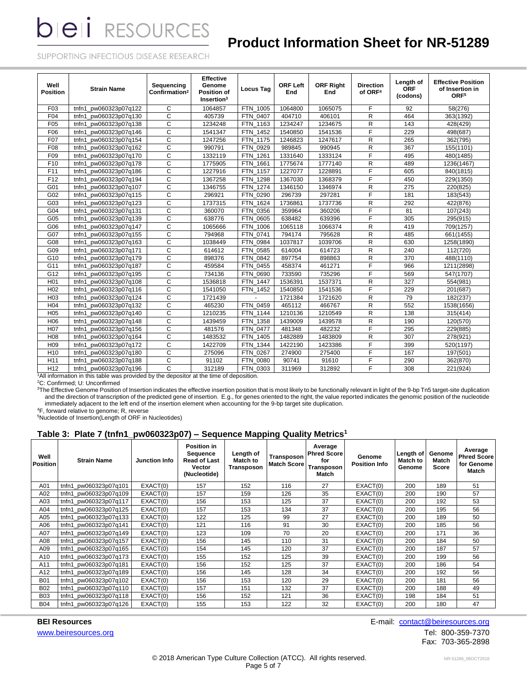# **Product Information Sheet for NR-51289**

SUPPORTING INFECTIOUS DISEASE RESEARCH

| Well<br><b>Position</b> | <b>Strain Name</b>       | Sequencing<br>Confirmation <sup>2</sup> | <b>Effective</b><br>Genome<br><b>Position of</b><br>Insertion <sup>3</sup> | <b>Locus Tag</b>   | <b>ORF Left</b><br>End | <b>ORF Right</b><br>End | <b>Direction</b><br>of ORF <sup>4</sup> | Length of<br><b>ORF</b><br>(codons) | <b>Effective Position</b><br>of Insertion in<br>ORF <sup>5</sup> |
|-------------------------|--------------------------|-----------------------------------------|----------------------------------------------------------------------------|--------------------|------------------------|-------------------------|-----------------------------------------|-------------------------------------|------------------------------------------------------------------|
| F <sub>03</sub>         | pw060323p07q122<br>tnfn1 | C                                       | 1064857                                                                    | FTN 1005           | 1064800                | 1065075                 | F                                       | 92                                  | 58(276)                                                          |
| F04                     | pw060323p07q130<br>tnfn1 | C                                       | 405739                                                                     | FTN 0407           | 404710                 | 406101                  | R                                       | 464                                 | 363(1392)                                                        |
| F05                     | pw060323p07q138<br>tnfn1 | C                                       | 1234248                                                                    | FTN 1163           | 1234247                | 1234675                 | R                                       | 143                                 | 428(429)                                                         |
| F06                     | pw060323p07q146<br>tnfn1 | C                                       | 1541347                                                                    | FTN 1452           | 1540850                | 1541536                 | F                                       | 229                                 | 498(687)                                                         |
| F07                     | tnfn1<br>pw060323p07q154 | $\mathsf{C}$                            | 1247256                                                                    | <b>FTN</b><br>1175 | 1246823                | 1247617                 | R                                       | 265                                 | 362(795)                                                         |
| F08                     | tnfn1<br>pw060323p07q162 | $\overline{c}$                          | 990791                                                                     | FTN 0929           | 989845                 | 990945                  | R                                       | 367                                 | 155(1101)                                                        |
| F09                     | tnfn1<br>pw060323p07q170 | C                                       | 1332119                                                                    | <b>FTN</b><br>1261 | 1331640                | 1333124                 | F                                       | 495                                 | 480(1485)                                                        |
| F <sub>10</sub>         | pw060323p07q178<br>tnfn1 | $\overline{c}$                          | 1775905                                                                    | FTN 1661           | 1775674                | 1777140                 | R                                       | 489                                 | 1236(1467)                                                       |
| F <sub>11</sub>         | pw060323p07q186<br>tnfn1 | $\mathsf{C}$                            | 1227916                                                                    | FTN 1157           | 1227077                | 1228891                 | $\overline{F}$                          | 605                                 | 840(1815)                                                        |
| F12                     | tnfn1 pw060323p07q194    | $\mathsf{C}$                            | 1367258                                                                    | FTN 1298           | 1367030                | 1368379                 | F                                       | 450                                 | 229(1350)                                                        |
| G01                     | tnfn1 pw060323p07q107    | $\mathsf{C}$                            | 1346755                                                                    | FTN 1274           | 1346150                | 1346974                 | R                                       | 275                                 | 220(825)                                                         |
| G02                     | tnfn1 pw060323p07q115    | $\mathsf{C}$                            | 296921                                                                     | FTN 0290           | 296739                 | 297281                  | F                                       | 181                                 | 183(543)                                                         |
| G03                     | pw060323p07q123<br>tnfn1 | C                                       | 1737315                                                                    | <b>FTN</b><br>1624 | 1736861                | 1737736                 | R                                       | 292                                 | 422(876)                                                         |
| G04                     | tnfn1<br>pw060323p07q131 | $\mathsf{C}$                            | 360070                                                                     | <b>FTN</b><br>0356 | 359964                 | 360206                  | F                                       | 81                                  | 107(243)                                                         |
| G05                     | pw060323p07q139<br>tnfn1 | $\mathsf{C}$                            | 638776                                                                     | FTN 0605           | 638482                 | 639396                  | F                                       | 305                                 | 295(915)                                                         |
| G06                     | pw060323p07q147<br>tnfn1 | C                                       | 1065666                                                                    | <b>FTN</b><br>1006 | 1065118                | 1066374                 | R                                       | 419                                 | 709(1257)                                                        |
| G07                     | pw060323p07q155<br>tnfn1 | C                                       | 794968                                                                     | FTN 0741           | 794174                 | 795628                  | R                                       | 485                                 | 661(1455)                                                        |
| G08                     | pw060323p07q163<br>tnfn1 | C                                       | 1038449                                                                    | FTN 0984           | 1037817                | 1039706                 | R                                       | 630                                 | 1258(1890)                                                       |
| G09                     | tnfn1<br>pw060323p07q171 | $\mathsf{C}$                            | 614612                                                                     | FTN 0585           | 614004                 | 614723                  | R                                       | 240                                 | 112(720)                                                         |
| G10                     | pw060323p07q179<br>tnfn1 | $\mathsf{C}$                            | 898376                                                                     | 0842<br><b>FTN</b> | 897754                 | 898863                  | R                                       | 370                                 | 488(1110)                                                        |
| G11                     | pw060323p07q187<br>tnfn1 | $\mathsf{C}$                            | 459584                                                                     | <b>FTN</b><br>0455 | 458374                 | 461271                  | F                                       | 966                                 | 1211(2898)                                                       |
| G12                     | tnfn1<br>pw060323p07q195 | $\mathsf{C}$                            | 734136                                                                     | FTN 0690           | 733590                 | 735296                  | F                                       | 569                                 | 547(1707)                                                        |
| H <sub>01</sub>         | pw060323p07q108<br>tnfn1 | $\overline{c}$                          | 1536818                                                                    | <b>FTN</b><br>1447 | 1536391                | 1537371                 | R                                       | 327                                 | 554(981)                                                         |
| H <sub>02</sub>         | pw060323p07q116<br>tnfn1 | $\mathsf{C}$                            | 1541050                                                                    | <b>FTN</b><br>1452 | 1540850                | 1541536                 | $\overline{F}$                          | 229                                 | 201(687)                                                         |
| H <sub>03</sub>         | tnfn1 pw060323p07q124    | $\overline{c}$                          | 1721439                                                                    |                    | 1721384                | 1721620                 | R                                       | 79                                  | 182(237)                                                         |
| H <sub>04</sub>         | tnfn1 pw060323p07q132    | C                                       | 465230                                                                     | FTN 0459           | 465112                 | 466767                  | R                                       | 552                                 | 1538(1656)                                                       |
| H <sub>05</sub>         | pw060323p07q140<br>tnfn1 | $\mathsf{C}$                            | 1210235                                                                    | FTN 1144           | 1210136                | 1210549                 | R                                       | 138                                 | 315(414)                                                         |
| H <sub>06</sub>         | pw060323p07q148<br>tnfn1 | $\overline{c}$                          | 1439459                                                                    | <b>FTN</b><br>1358 | 1439009                | 1439578                 | R                                       | 190                                 | 120(570)                                                         |
| H07                     | tnfn1<br>pw060323p07q156 | C                                       | 481576                                                                     | <b>FTN</b><br>0477 | 481348                 | 482232                  | E                                       | 295                                 | 229(885)                                                         |
| H <sub>08</sub>         | pw060323p07q164<br>tnfn1 | C                                       | 1483532                                                                    | <b>FTN</b><br>1405 | 1482889                | 1483809                 | R                                       | 307                                 | 278(921)                                                         |
| H <sub>09</sub>         | pw060323p07g172<br>tnfn1 | $\mathsf{C}$                            | 1422709                                                                    | <b>FTN</b><br>1344 | 1422190                | 1423386                 | F                                       | 399                                 | 520(1197)                                                        |
| H <sub>10</sub>         | tnfn1 pw060323p07q180    | C                                       | 275096                                                                     | FTN 0267           | 274900                 | 275400                  | F                                       | 167                                 | 197(501)                                                         |
| H11                     | tnfn1 pw060323p07q188    | C                                       | 91102                                                                      | FTN 0080           | 90741                  | 91610                   | F                                       | 290                                 | 362(870)                                                         |
| H <sub>12</sub>         | tnfn1 pw060323p07q196    | $\mathsf{C}$                            | 312189                                                                     | FTN 0303           | 311969                 | 312892                  | F                                       | 308                                 | 221(924)                                                         |

<sup>1</sup>All information in this table was provided by the depositor at the time of deposition.

<sup>2</sup>C: Confirmed; U: Unconfirmed

<sup>3</sup>The Effective Genome Position of Insertion indicates the effective insertion position that is most likely to be functionally relevant in light of the 9-bp Tn5 target-site duplication and the direction of transcription of the predicted gene of insertion. E.g., for genes oriented to the right, the value reported indicates the genomic position of the nucleotide immediately adjacent to the left end of the insertion element when accounting for the 9-bp target site duplication.

<sup>4</sup>F, forward relative to genome; R, reverse

<sup>5</sup>Nucleotide of Insertion(Length of ORF in Nucleotides)

## **Table 3: Plate 7 (tnfn1\_pw060323p07) – Sequence Mapping Quality Metrics<sup>1</sup>**

| Well<br><b>Position</b> | <b>Strain Name</b>    | <b>Junction Info</b> | <b>Position in</b><br>Sequence<br><b>Read of Last</b><br><b>Vector</b><br>(Nucleotide) | Length of<br>Match to<br><b>Transposon</b> | Transposon<br><b>Match Score</b> | Average<br><b>Phred Score</b><br>for<br>Transposon<br>Match | Genome<br><b>Position Info</b> | Length of<br><b>Match to</b><br>Genome | Genome<br>Match<br>Score | Average<br><b>Phred Score</b><br>for Genome<br>Match |
|-------------------------|-----------------------|----------------------|----------------------------------------------------------------------------------------|--------------------------------------------|----------------------------------|-------------------------------------------------------------|--------------------------------|----------------------------------------|--------------------------|------------------------------------------------------|
| A01                     | tnfn1_pw060323p07q101 | EXACT(0)             | 157                                                                                    | 152                                        | 116                              | 27                                                          | EXACT(0)                       | 200                                    | 189                      | 51                                                   |
| A02                     | tnfn1 pw060323p07q109 | EXACT(0)             | 157                                                                                    | 159                                        | 126                              | 35                                                          | EXACT(0)                       | 200                                    | 190                      | 57                                                   |
| A03                     | tnfn1 pw060323p07q117 | EXACT(0)             | 156                                                                                    | 153                                        | 125                              | 37                                                          | EXACT(0)                       | 200                                    | 192                      | 53                                                   |
| A04                     | tnfn1 pw060323p07q125 | EXACT(0)             | 157                                                                                    | 153                                        | 134                              | 37                                                          | EXACT(0)                       | 200                                    | 195                      | 56                                                   |
| A05                     | tnfn1 pw060323p07q133 | EXACT(0)             | 122                                                                                    | 125                                        | 99                               | 27                                                          | EXACT(0)                       | 200                                    | 189                      | 50                                                   |
| A06                     | tnfn1 pw060323p07q141 | EXACT(0)             | 121                                                                                    | 116                                        | 91                               | 30                                                          | EXACT(0)                       | 200                                    | 185                      | 56                                                   |
| A07                     | tnfn1 pw060323p07q149 | EXACT(0)             | 123                                                                                    | 109                                        | 70                               | 20                                                          | EXACT(0)                       | 200                                    | 171                      | 36                                                   |
| A08                     | tnfn1 pw060323p07q157 | EXACT(0)             | 156                                                                                    | 145                                        | 110                              | 31                                                          | EXACT(0)                       | 200                                    | 184                      | 50                                                   |
| A09                     | tnfn1_pw060323p07q165 | EXACT(0)             | 154                                                                                    | 145                                        | 120                              | 37                                                          | EXACT(0)                       | 200                                    | 187                      | 57                                                   |
| A <sub>10</sub>         | tnfn1_pw060323p07q173 | EXACT(0)             | 155                                                                                    | 152                                        | 125                              | 39                                                          | EXACT(0)                       | 200                                    | 199                      | 56                                                   |
| A11                     | tnfn1 pw060323p07q181 | EXACT(0)             | 156                                                                                    | 152                                        | 125                              | 37                                                          | EXACT(0)                       | 200                                    | 186                      | 54                                                   |
| A12                     | tnfn1_pw060323p07q189 | EXACT(0)             | 156                                                                                    | 145                                        | 128                              | 34                                                          | EXACT(0)                       | 200                                    | 192                      | 56                                                   |
| <b>B01</b>              | tnfn1 pw060323p07q102 | EXACT(0)             | 156                                                                                    | 153                                        | 120                              | 29                                                          | EXACT(0)                       | 200                                    | 181                      | 56                                                   |
| <b>B02</b>              | tnfn1 pw060323p07q110 | EXACT(0)             | 157                                                                                    | 151                                        | 132                              | 37                                                          | EXACT(0)                       | 200                                    | 188                      | 49                                                   |
| <b>B03</b>              | tnfn1 pw060323p07q118 | EXACT(0)             | 156                                                                                    | 152                                        | 121                              | 36                                                          | EXACT(0)                       | 198                                    | 184                      | 51                                                   |
| <b>B04</b>              | tnfn1 pw060323p07q126 | EXACT(0)             | 155                                                                                    | 153                                        | 122                              | 32                                                          | EXACT(0)                       | 200                                    | 180                      | 47                                                   |

[www.beiresources.org](http://www.beiresources.org/)Tel: 800-359-7370

**BEI Resources** E-mail: [contact@beiresources.org](mailto:contact@beiresources.org)

Fax: 703-365-2898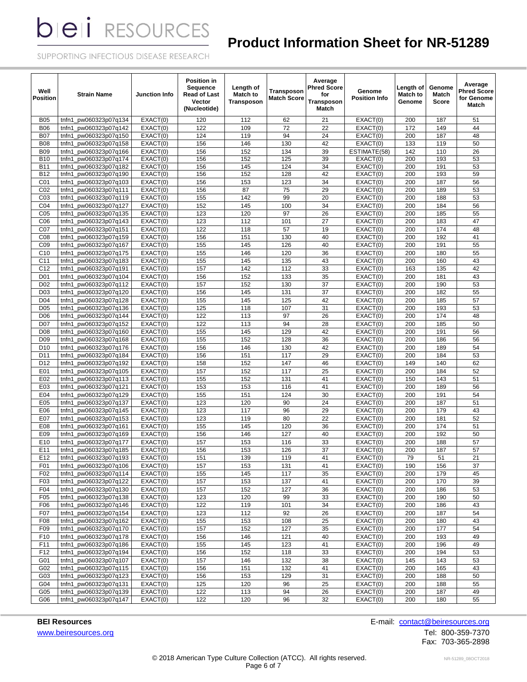# **Product Information Sheet for NR-51289**

SUPPORTING INFECTIOUS DISEASE RESEARCH

| Well<br><b>Position</b> | <b>Strain Name</b>       | Junction Info                | <b>Position in</b><br>Sequence<br><b>Read of Last</b><br>Vector<br>(Nucleotide) | Length of<br><b>Match to</b><br>Transposon | <b>Transposon</b><br><b>Match Score</b> | Average<br><b>Phred Score</b><br>for<br>Transposon<br>Match | Genome<br><b>Position Info</b> | Length of<br><b>Match to</b><br>Genome | Genome<br>Match<br>Score | Average<br><b>Phred Score</b><br>for Genome<br>Match |
|-------------------------|--------------------------|------------------------------|---------------------------------------------------------------------------------|--------------------------------------------|-----------------------------------------|-------------------------------------------------------------|--------------------------------|----------------------------------------|--------------------------|------------------------------------------------------|
| <b>B05</b>              | pw060323p07q134<br>tnfn1 | EXACT(0)                     | 120                                                                             | 112                                        | 62                                      | 21                                                          | EXACT(0)                       | 200                                    | 187                      | 51                                                   |
| <b>B06</b>              | tnfn1<br>pw060323p07q142 | EXACT(0)                     | 122                                                                             | 109                                        | 72                                      | 22                                                          | EXACT(0)                       | 172                                    | 149                      | 44                                                   |
| <b>B07</b>              | pw060323p07q150<br>tnfn1 | $\overline{\text{EXACT}}(0)$ | 124                                                                             | 119                                        | 94                                      | 24                                                          | EXACT(0)                       | 200                                    | 187                      | 48                                                   |
| <b>B08</b>              | pw060323p07q158<br>tnfn1 | EXACT(0)                     | 156                                                                             | 146                                        | 130                                     | 42                                                          | EXACT(0)                       | 133                                    | 119                      | 50                                                   |
| <b>B09</b>              | pw060323p07q166<br>tnfn1 | EXACT(0)                     | 156                                                                             | 152                                        | 134                                     | 39                                                          | ESTIMATE(58)                   | 142                                    | 110                      | 26                                                   |
| <b>B10</b>              | pw060323p07q174<br>tnfn1 | EXACT(0)                     | 156                                                                             | 152                                        | 125                                     | 39                                                          | EXACT(0)                       | 200                                    | 193                      | 53                                                   |
| <b>B11</b>              | tnfn1<br>pw060323p07q182 | EXACT(0)                     | 156                                                                             | 145                                        | 124                                     | 34                                                          | EXACT(0)                       | 200                                    | 191                      | 53                                                   |
| <b>B12</b>              | tnfn1<br>pw060323p07q190 | EXACT(0)                     | 156                                                                             | 152                                        | 128                                     | 42                                                          | EXACT(0)                       | 200                                    | 193                      | 59                                                   |
| C <sub>01</sub>         | pw060323p07q103<br>tnfn1 | EXACT(0)                     | 156                                                                             | 153                                        | 123                                     | 34                                                          | EXACT(0)                       | 200                                    | 187                      | 56                                                   |
| CO <sub>2</sub>         | tnfn1<br>pw060323p07q111 | EXACT(0)                     | 156                                                                             | 87                                         | 75                                      | 29                                                          | EXACT(0)                       | 200                                    | 189                      | 53                                                   |
| CO <sub>3</sub>         | tnfn1<br>pw060323p07q119 | EXACT(0)                     | 155                                                                             | 142                                        | 99                                      | 20                                                          | EXACT(0)                       | 200                                    | 188                      | 53                                                   |
| CO <sub>4</sub>         | pw060323p07q127<br>tnfn1 | EXACT(0)                     | 152                                                                             | 145                                        | 100                                     | 34                                                          | EXACT(0)                       | 200                                    | 184                      | 56                                                   |
| C <sub>05</sub>         | tnfn1<br>pw060323p07q135 | EXACT(0)                     | 123                                                                             | 120                                        | 97                                      | 26                                                          | EXACT(0)                       | 200                                    | 185                      | 55                                                   |
| C06                     | pw060323p07q143<br>tnfn1 | EXACT(0)                     | 123                                                                             | 112                                        | 101                                     | 27                                                          | EXACT(0)                       | 200                                    | 183                      | 47                                                   |
| C07                     | pw060323p07q151<br>tnfn1 | EXACT(0)                     | 122                                                                             | 118                                        | 57                                      | 19                                                          | EXACT(0)                       | 200                                    | 174                      | 48                                                   |
| CO8                     | pw060323p07q159<br>tnfn1 | EXACT(0)                     | 156                                                                             | 151                                        | 130                                     | 40                                                          | EXACT(0)                       | 200                                    | 192                      | 41                                                   |
| CO9                     | pw060323p07q167<br>tnfn1 | EXACT(0)                     | 155                                                                             | 145                                        | 126                                     | 40                                                          | EXACT(0)                       | 200                                    | 191                      | 55                                                   |
| C <sub>10</sub>         | pw060323p07q175<br>tnfn1 | EXACT(0)                     | 155                                                                             | 146                                        | 120                                     | 36                                                          | EXACT(0)                       | 200                                    | 180                      | 55                                                   |
| C <sub>11</sub>         | tnfn1<br>pw060323p07q183 | EXACT(0)                     | 155                                                                             | 145                                        | 135                                     | 43                                                          | EXACT(0)                       | 200                                    | 160                      | 43                                                   |
| C12                     | pw060323p07q191<br>tnfn1 | EXACT(0)                     | 157                                                                             | 142                                        | 112                                     | 33                                                          | EXACT(0)                       | 163                                    | 135                      | 42                                                   |
| D <sub>01</sub>         | pw060323p07q104<br>tnfn1 | EXACT(0)                     | 156                                                                             | 152                                        | 133                                     | 35                                                          | EXACT(0)                       | 200                                    | 181                      | 43                                                   |
| D <sub>02</sub>         | pw060323p07q112<br>tnfn1 | EXACT(0)                     | 157                                                                             | 152                                        | 130                                     | 37                                                          | EXACT(0)                       | 200                                    | 190                      | 53                                                   |
| D <sub>03</sub>         | pw060323p07q120<br>tnfn1 | EXACT(0)                     | 156                                                                             | 145                                        | 131                                     | 37                                                          | EXACT(0)                       | 200                                    | 182                      | 55                                                   |
| D <sub>04</sub>         | pw060323p07q128<br>tnfn1 | EXACT(0)                     | 155                                                                             | 145                                        | 125                                     | 42                                                          | EXACT(0)                       | 200                                    | 185                      | 57                                                   |
| D <sub>05</sub>         | pw060323p07q136<br>tnfn1 | EXACT(0)                     | 125                                                                             | 118                                        | 107                                     | 31                                                          | EXACT(0)                       | 200                                    | 193                      | 53                                                   |
| D <sub>06</sub>         | pw060323p07q144<br>tnfn1 | EXACT(0)                     | 122                                                                             | 113                                        | 97                                      | 26                                                          | EXACT(0)                       | 200                                    | 174                      | 48                                                   |
| D07                     | tnfn1<br>pw060323p07q152 | EXACT(0)                     | 122                                                                             | 113                                        | 94                                      | 28                                                          | EXACT(0)                       | 200                                    | 185                      | 50                                                   |
| D <sub>08</sub>         | tnfn1<br>pw060323p07q160 | EXACT(0)                     | 155                                                                             | 145                                        | 129                                     | 42                                                          | EXACT(0)                       | 200                                    | 191                      | 56                                                   |
| D <sub>09</sub>         | tnfn1<br>pw060323p07q168 | EXACT(0)                     | 155                                                                             | 152                                        | 128                                     | 36                                                          | EXACT(0)                       | 200                                    | 186                      | 56                                                   |
| D <sub>10</sub>         | tnfn1<br>pw060323p07q176 | EXACT(0)                     | 156                                                                             | 146                                        | 130                                     | 42                                                          | EXACT(0)                       | 200                                    | 189                      | 54                                                   |
| D <sub>11</sub>         | tnfn1<br>pw060323p07q184 | EXACT(0)                     | 156                                                                             | 151                                        | 117                                     | 29                                                          | EXACT(0)                       | 200                                    | 184                      | 53                                                   |
| D <sub>12</sub>         | pw060323p07q192<br>tnfn1 | EXACT(0)                     | 158                                                                             | 152                                        | 147                                     | 46                                                          | EXACT(0)                       | 149                                    | 140                      | 62                                                   |
| E01                     | tnfn1<br>pw060323p07q105 | EXACT(0)                     | 157                                                                             | 152                                        | 117                                     | 25                                                          | EXACT(0)                       | 200                                    | 184                      | 52                                                   |
| E02                     | pw060323p07q113<br>tnfn1 | EXACT(0)                     | 155                                                                             | 152                                        | 131                                     | 41                                                          | EXACT(0)                       | 150                                    | 143                      | 51                                                   |
| E03                     | tnfn1<br>pw060323p07q121 | EXACT(0)                     | 153                                                                             | 153                                        | 116                                     | 41                                                          | EXACT(0)                       | 200                                    | 189                      | 56                                                   |
| E04                     | pw060323p07q129<br>tnfn1 | EXACT(0)                     | 155                                                                             | 151                                        | 124                                     | 30                                                          | EXACT(0)                       | 200                                    | 191                      | 54                                                   |
| E05                     | pw060323p07q137<br>tnfn1 | EXACT(0)                     | 123                                                                             | 120                                        | 90                                      | 24                                                          | EXACT(0)                       | 200                                    | 187                      | 51                                                   |
| E06                     | pw060323p07q145<br>tnfn1 | EXACT(0)                     | 123                                                                             | 117                                        | 96                                      | 29                                                          | EXACT(0)                       | 200                                    | 179                      | 43                                                   |
| E07                     | tnfn1<br>pw060323p07q153 | EXACT(0)                     | 123                                                                             | 119                                        | 80                                      | 22                                                          | EXACT(0)                       | 200                                    | 181                      | 52                                                   |
| E08                     | pw060323p07q161<br>tnfn1 | EXACT(0)                     | 155                                                                             | 145                                        | 120                                     | 36                                                          | EXACT(0)                       | 200                                    | 174                      | 51                                                   |
| E09                     | pw060323p07q169<br>tnfn1 | EXACT(0)                     | 156                                                                             | 146                                        | 127                                     | 40                                                          | EXACT(0)                       | 200                                    | 192                      | 50                                                   |
| E10                     | pw060323p07q177<br>tnfn1 | EXACT(0)                     | 157                                                                             | 153                                        | 116                                     | 33                                                          | EXACT(0)                       | 200                                    | 188                      | 57                                                   |
| E11                     | pw060323p07q185<br>tnfn1 | EXACT(0)                     | 156                                                                             | 153                                        | 126                                     | 37                                                          | EXACT(0)                       | 200                                    | 187                      | 57                                                   |
| E12                     | tnfn1_pw060323p07q193    | EXACT(0)                     | 151                                                                             | 139                                        | 119                                     | 41                                                          | EXACT(0)                       | 79                                     | 51                       | 21                                                   |
| F01                     | tnfn1_pw060323p07q106    | EXACT(0)                     | 157                                                                             | 153                                        | 131                                     | 41                                                          | EXACT(0)                       | 190                                    | 156                      | 37                                                   |
| F02                     | pw060323p07q114<br>tnfn1 | EXACT(0)                     | 155                                                                             | 145                                        | 117                                     | 35                                                          | EXACT(0)                       | 200                                    | 179                      | 45                                                   |
| F03                     | tnfn1_pw060323p07q122    | EXACT(0)                     | 157                                                                             | 153                                        | 137                                     | 41                                                          | EXACT(0)                       | 200                                    | 170                      | 39                                                   |
| F04                     | tnfn1 pw060323p07q130    | EXACT(0)                     | 157                                                                             | 152                                        | 127                                     | 36                                                          | EXACT(0)                       | 200                                    | 186                      | 53                                                   |
| F05                     | tnfn1_pw060323p07q138    | EXACT(0)                     | 123                                                                             | 120                                        | 99                                      | 33                                                          | EXACT(0)                       | 200                                    | 190                      | 50                                                   |
| F06                     | tnfn1 pw060323p07q146    | EXACT(0)                     | 122                                                                             | 119                                        | 101                                     | 34                                                          | EXACT(0)                       | 200                                    | 186                      | 43                                                   |
| F07                     | tnfn1 pw060323p07q154    | EXACT(0)                     | 123                                                                             | 112                                        | 92                                      | 26                                                          | EXACT(0)                       | 200                                    | 187                      | 54                                                   |
| F08                     | tnfn1_pw060323p07q162    | EXACT(0)                     | 155                                                                             | 153                                        | 108                                     | 25                                                          | EXACT(0)                       | 200                                    | 180                      | 43                                                   |
| F <sub>09</sub>         | tnfn1_pw060323p07q170    | EXACT(0)                     | 157                                                                             | 152                                        | 127                                     | 35                                                          | EXACT(0)                       | 200                                    | 177                      | 54                                                   |
| F <sub>10</sub>         | tnfn1_pw060323p07q178    | EXACT(0)                     | 156                                                                             | 146                                        | 121                                     | 40                                                          | EXACT(0)                       | 200                                    | 193                      | 49                                                   |
| F11                     | tnfn1 pw060323p07q186    | EXACT(0)                     | 155                                                                             | 145                                        | 123                                     | 41                                                          | EXACT(0)                       | 200                                    | 196                      | 49                                                   |
| F12                     | pw060323p07q194<br>tnfn1 | EXACT(0)                     | 156                                                                             | 152                                        | 118                                     | 33                                                          | EXACT(0)                       | 200                                    | 194                      | 53                                                   |
| G01                     | pw060323p07q107<br>tnfn1 | EXACT(0)                     | 157                                                                             | 146                                        | 132                                     | 38                                                          | EXACT(0)                       | 145                                    | 143                      | 53                                                   |
| G02                     | pw060323p07q115<br>tnfn1 | EXACT(0)                     | 156                                                                             | 151                                        | 132                                     | 41                                                          | EXACT(0)                       | 200                                    | 165                      | 43                                                   |
| G03                     | pw060323p07q123<br>tnfn1 | EXACT(0)                     | 156                                                                             | 153                                        | 129                                     | 31                                                          | EXACT(0)                       | 200                                    | 188                      | 50                                                   |
| G04                     | tnfn1_pw060323p07q131    | EXACT(0)                     | 125                                                                             | 120                                        | 96                                      | 25                                                          | EXACT(0)                       | 200                                    | 188                      | 55                                                   |
| G05                     | tnfn1_pw060323p07q139    | EXACT(0)                     | 122                                                                             | 113                                        | 94                                      | 26                                                          | EXACT(0)                       | 200                                    | 187                      | 49                                                   |
| G06                     | tnfn1_pw060323p07q147    | EXACT(0)                     | 122                                                                             | 120                                        | 96                                      | 32                                                          | EXACT(0)                       | 200                                    | 180                      | 55                                                   |

[www.beiresources.org](http://www.beiresources.org/)Tel: 800-359-7370

**BEI Resources** E-mail: **contact@beiresources.org** 

Fax: 703-365-2898